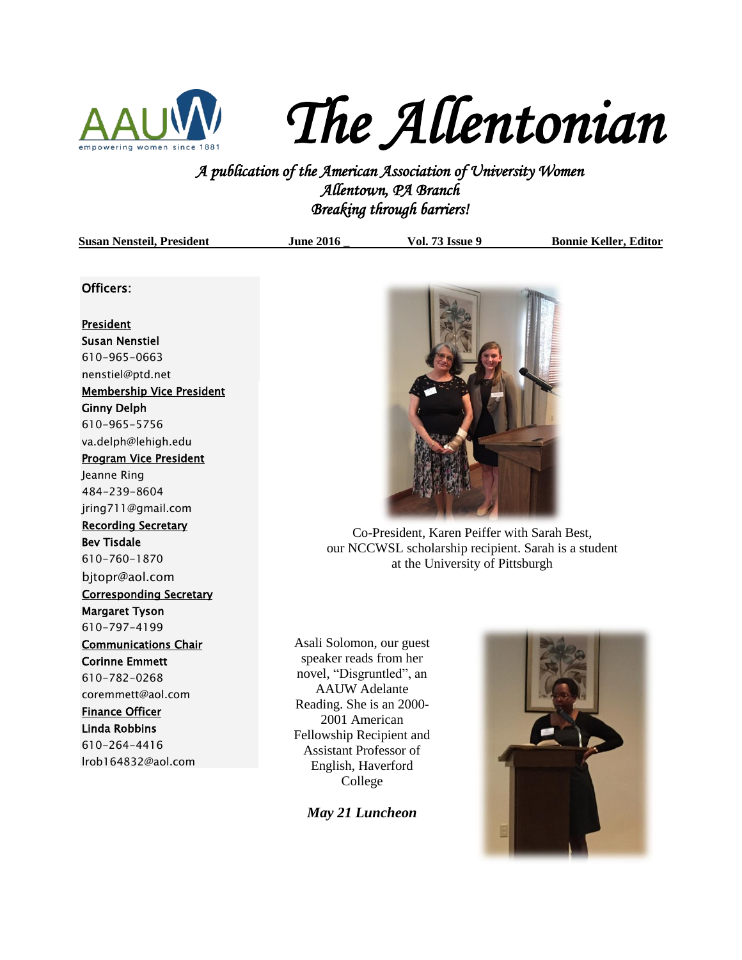

*The Allentonian* 

*A publication of the American Association of University Women Allentown, PA Branch Breaking through barriers!* 

| <b>Susan Nensteil, President</b> | <b>June 2016</b> | <b>Vol. 73 Issue 9</b> | <b>Bonnie Keller, Editor</b> |
|----------------------------------|------------------|------------------------|------------------------------|
|                                  |                  |                        |                              |

#### Officers:

#### President

Susan Nenstiel 610-965-0663 [nenstiel@ptd.net](mailto:nenstiel@ptd.net) Membership Vice President Ginny Delph 610-965-5756 va.delph@lehigh.edu Program Vice President Jeanne Ring 484-239-8604 jring711@gmail.com Recording Secretary Bev Tisdale 610-760-1870 bjtopr@aol.com Corresponding Secretary Margaret Tyson 610-797-4199 Communications Chair Corinne Emmett 610-782-0268 coremmett@aol.com Finance Officer Linda Robbins 610-264-4416 lrob164832@aol.com



Co-President, Karen Peiffer with Sarah Best, our NCCWSL scholarship recipient. Sarah is a student at the University of Pittsburgh

Asali Solomon, our guest speaker reads from her novel, "Disgruntled", an AAUW Adelante Reading. She is an 2000- 2001 American Fellowship Recipient and Assistant Professor of English, Haverford College

*May 21 Luncheon*

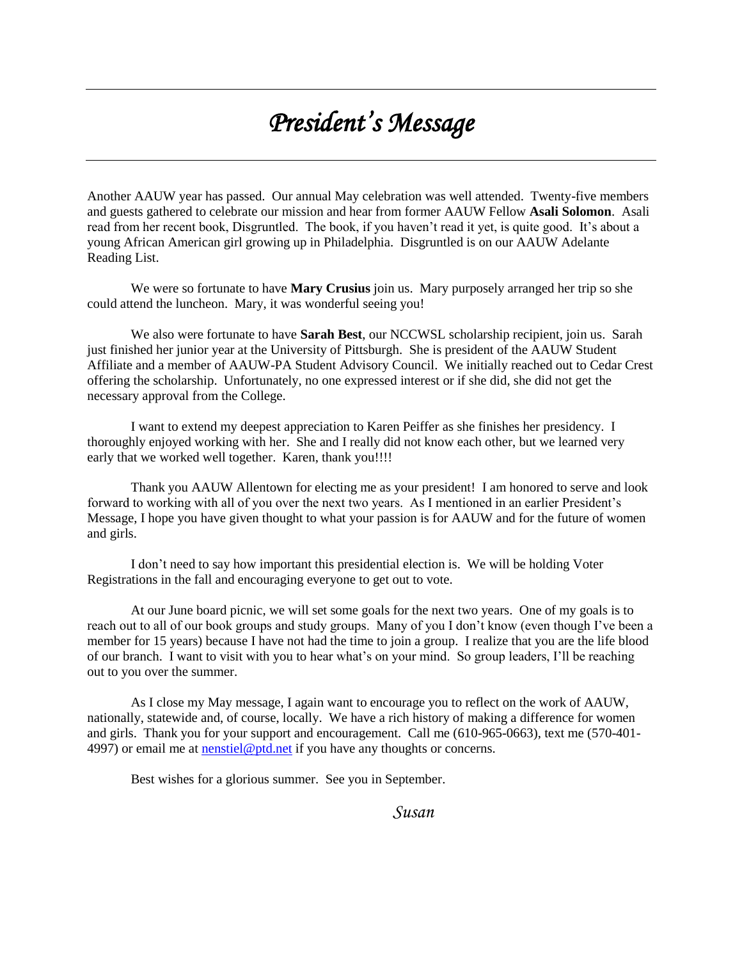# *President's Message*

Another AAUW year has passed. Our annual May celebration was well attended. Twenty-five members and guests gathered to celebrate our mission and hear from former AAUW Fellow **Asali Solomon**. Asali read from her recent book, Disgruntled. The book, if you haven't read it yet, is quite good. It's about a young African American girl growing up in Philadelphia. Disgruntled is on our AAUW Adelante Reading List.

We were so fortunate to have **Mary Crusius** join us. Mary purposely arranged her trip so she could attend the luncheon. Mary, it was wonderful seeing you!

We also were fortunate to have **Sarah Best**, our NCCWSL scholarship recipient, join us. Sarah just finished her junior year at the University of Pittsburgh. She is president of the AAUW Student Affiliate and a member of AAUW-PA Student Advisory Council. We initially reached out to Cedar Crest offering the scholarship. Unfortunately, no one expressed interest or if she did, she did not get the necessary approval from the College.

I want to extend my deepest appreciation to Karen Peiffer as she finishes her presidency. I thoroughly enjoyed working with her. She and I really did not know each other, but we learned very early that we worked well together. Karen, thank you!!!!

Thank you AAUW Allentown for electing me as your president! I am honored to serve and look forward to working with all of you over the next two years. As I mentioned in an earlier President's Message, I hope you have given thought to what your passion is for AAUW and for the future of women and girls.

I don't need to say how important this presidential election is. We will be holding Voter Registrations in the fall and encouraging everyone to get out to vote.

At our June board picnic, we will set some goals for the next two years. One of my goals is to reach out to all of our book groups and study groups. Many of you I don't know (even though I've been a member for 15 years) because I have not had the time to join a group. I realize that you are the life blood of our branch. I want to visit with you to hear what's on your mind. So group leaders, I'll be reaching out to you over the summer.

As I close my May message, I again want to encourage you to reflect on the work of AAUW, nationally, statewide and, of course, locally. We have a rich history of making a difference for women and girls. Thank you for your support and encouragement. Call me (610-965-0663), text me (570-401 4997) or email me at [nenstiel@ptd.net](mailto:nenstiel@ptd.net) if you have any thoughts or concerns.

Best wishes for a glorious summer. See you in September.

*Susan*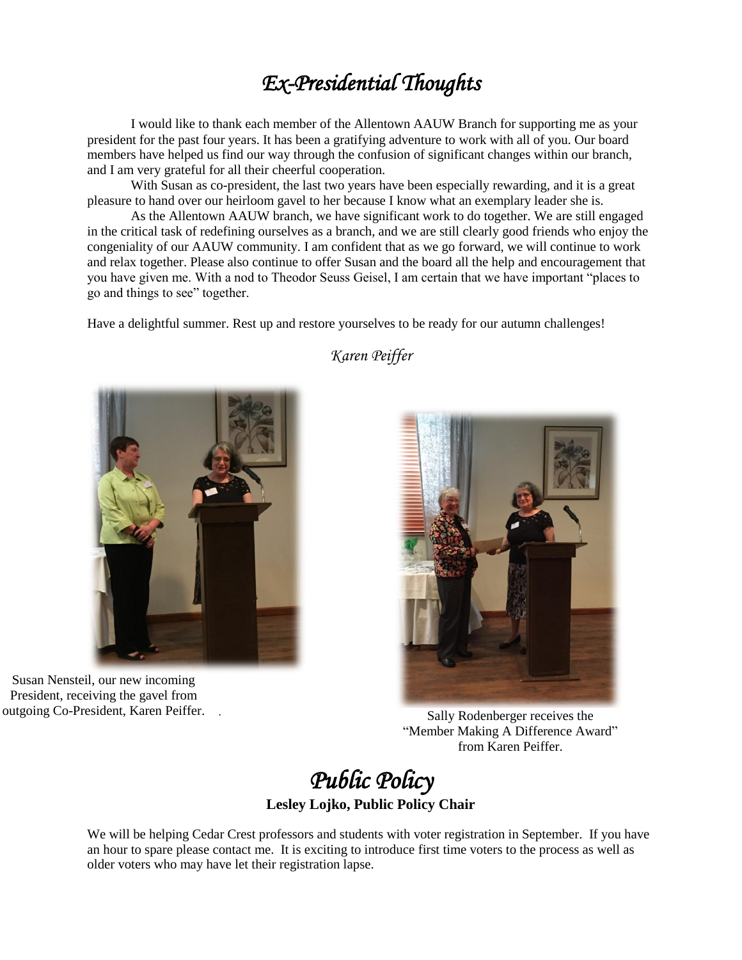### *Ex-Presidential Thoughts*

I would like to thank each member of the Allentown AAUW Branch for supporting me as your president for the past four years. It has been a gratifying adventure to work with all of you. Our board members have helped us find our way through the confusion of significant changes within our branch, and I am very grateful for all their cheerful cooperation.

With Susan as co-president, the last two years have been especially rewarding, and it is a great pleasure to hand over our heirloom gavel to her because I know what an exemplary leader she is.

As the Allentown AAUW branch, we have significant work to do together. We are still engaged in the critical task of redefining ourselves as a branch, and we are still clearly good friends who enjoy the congeniality of our AAUW community. I am confident that as we go forward, we will continue to work and relax together. Please also continue to offer Susan and the board all the help and encouragement that you have given me. With a nod to Theodor Seuss Geisel, I am certain that we have important "places to go and things to see" together.

Have a delightful summer. Rest up and restore yourselves to be ready for our autumn challenges!



Susan Nensteil, our new incoming President, receiving the gavel from



outgoing Co-President, Karen Peiffer. . Sally Rodenberger receives the "Member Making A Difference Award" from Karen Peiffer.

*Public Policy*  **Lesley Lojko, Public Policy Chair**

We will be helping Cedar Crest professors and students with voter registration in September. If you have an hour to spare please contact me. It is exciting to introduce first time voters to the process as well as older voters who may have let their registration lapse.

### *Karen Peiffer*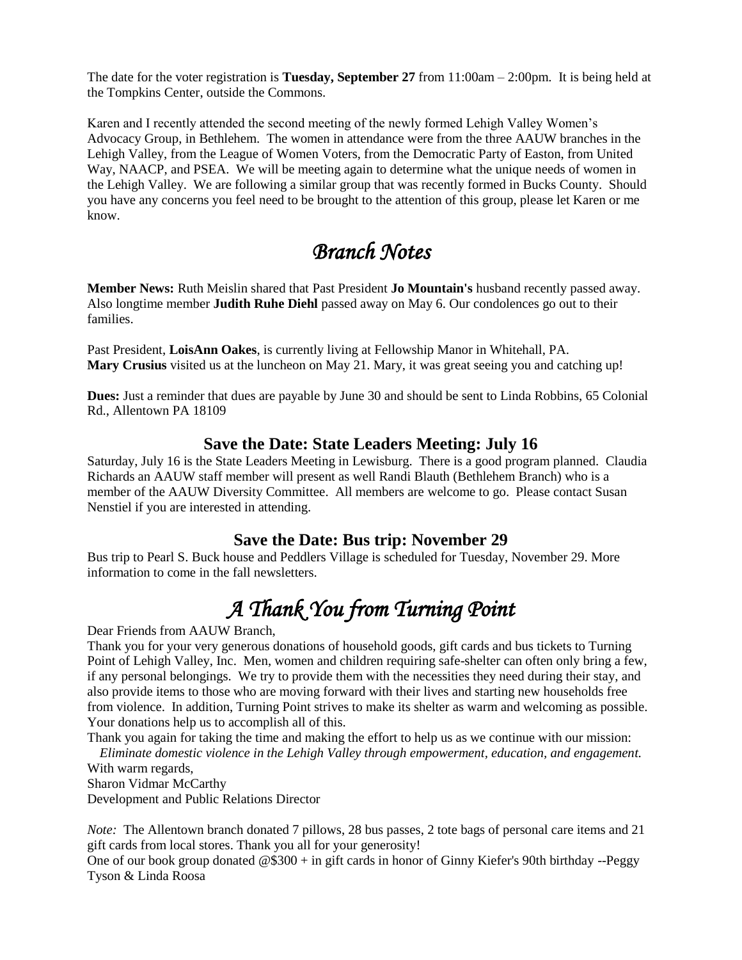The date for the voter registration is **Tuesday, September 27** from 11:00am – 2:00pm. It is being held at the Tompkins Center, outside the Commons.

Karen and I recently attended the second meeting of the newly formed Lehigh Valley Women's Advocacy Group, in Bethlehem. The women in attendance were from the three AAUW branches in the Lehigh Valley, from the League of Women Voters, from the Democratic Party of Easton, from United Way, NAACP, and PSEA. We will be meeting again to determine what the unique needs of women in the Lehigh Valley. We are following a similar group that was recently formed in Bucks County. Should you have any concerns you feel need to be brought to the attention of this group, please let Karen or me know.

### *Branch Notes*

**Member News:** Ruth Meislin shared that Past President **Jo Mountain's** husband recently passed away. Also longtime member **Judith Ruhe Diehl** passed away on May 6. Our condolences go out to their families.

Past President, **LoisAnn Oakes**, is currently living at Fellowship Manor in Whitehall, PA. **Mary Crusius** visited us at the luncheon on May 21. Mary, it was great seeing you and catching up!

**Dues:** Just a reminder that dues are payable by June 30 and should be sent to Linda Robbins, 65 Colonial Rd., Allentown PA 18109

### **Save the Date: State Leaders Meeting: July 16**

Saturday, July 16 is the State Leaders Meeting in Lewisburg. There is a good program planned. Claudia Richards an AAUW staff member will present as well Randi Blauth (Bethlehem Branch) who is a member of the AAUW Diversity Committee. All members are welcome to go. Please contact Susan Nenstiel if you are interested in attending.

### **Save the Date: Bus trip: November 29**

Bus trip to Pearl S. Buck house and Peddlers Village is scheduled for Tuesday, November 29. More information to come in the fall newsletters.

## *A Thank You from Turning Point*

Dear Friends from AAUW Branch,

Thank you for your very generous donations of household goods, gift cards and bus tickets to Turning Point of Lehigh Valley, Inc. Men, women and children requiring safe-shelter can often only bring a few, if any personal belongings. We try to provide them with the necessities they need during their stay, and also provide items to those who are moving forward with their lives and starting new households free from violence. In addition, Turning Point strives to make its shelter as warm and welcoming as possible. Your donations help us to accomplish all of this.

Thank you again for taking the time and making the effort to help us as we continue with our mission: *Eliminate domestic violence in the Lehigh Valley through empowerment, education, and engagement.*

With warm regards,

Sharon Vidmar McCarthy Development and Public Relations Director

*Note:* The Allentown branch donated 7 pillows, 28 bus passes, 2 tote bags of personal care items and 21 gift cards from local stores. Thank you all for your generosity!

One of our book group donated @\$300 + in gift cards in honor of Ginny Kiefer's 90th birthday --Peggy Tyson & Linda Roosa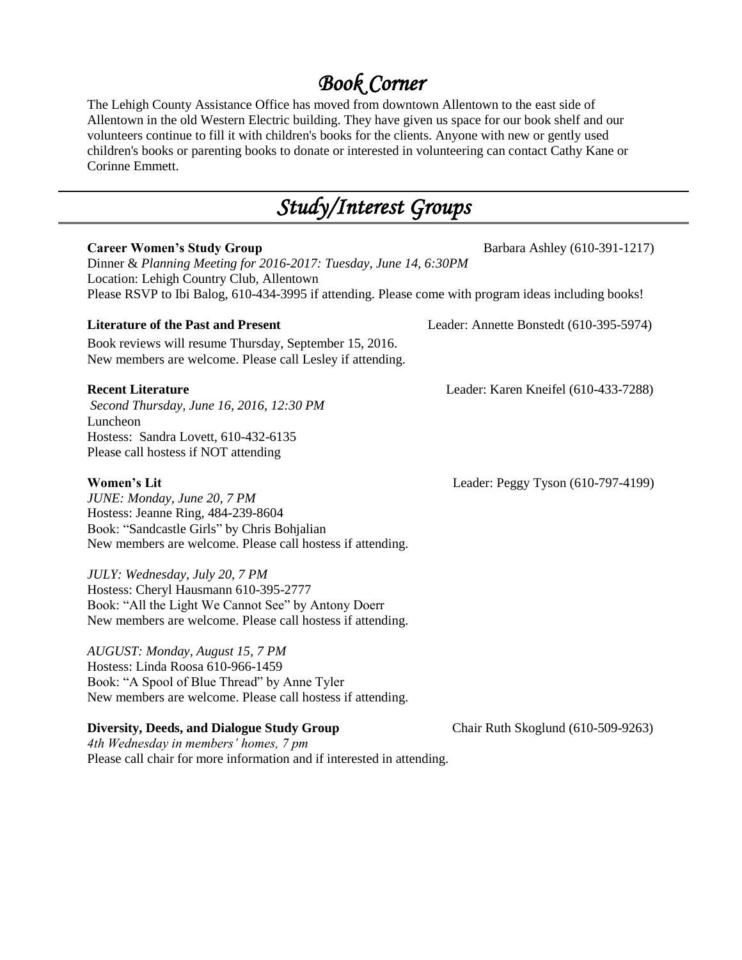### *Book Corner*

The Lehigh County Assistance Office has moved from downtown Allentown to the east side of Allentown in the old Western Electric building. They have given us space for our book shelf and our volunteers continue to fill it with children's books for the clients. Anyone with new or gently used children's books or parenting books to donate or interested in volunteering can contact Cathy Kane or Corinne Emmett.

# *Study/Interest Groups*

| <b>Career Women's Study Group</b><br>Dinner & Planning Meeting for 2016-2017: Tuesday, June 14, 6:30PM<br>Location: Lehigh Country Club, Allentown                                                   | Barbara Ashley (610-391-1217)           |  |  |  |  |
|------------------------------------------------------------------------------------------------------------------------------------------------------------------------------------------------------|-----------------------------------------|--|--|--|--|
| Please RSVP to Ibi Balog, 610-434-3995 if attending. Please come with program ideas including books!                                                                                                 |                                         |  |  |  |  |
| <b>Literature of the Past and Present</b><br>Book reviews will resume Thursday, September 15, 2016.<br>New members are welcome. Please call Lesley if attending.                                     | Leader: Annette Bonstedt (610-395-5974) |  |  |  |  |
| <b>Recent Literature</b><br>Second Thursday, June 16, 2016, 12:30 PM<br>Luncheon<br>Hostess: Sandra Lovett, 610-432-6135<br>Please call hostess if NOT attending                                     | Leader: Karen Kneifel (610-433-7288)    |  |  |  |  |
| <b>Women's Lit</b><br>JUNE: Monday, June 20, 7 PM<br>Hostess: Jeanne Ring, 484-239-8604<br>Book: "Sandcastle Girls" by Chris Bohjalian<br>New members are welcome. Please call hostess if attending. | Leader: Peggy Tyson (610-797-4199)      |  |  |  |  |
| JULY: Wednesday, July 20, 7 PM<br>Hostess: Cheryl Hausmann 610-395-2777<br>Book: "All the Light We Cannot See" by Antony Doerr<br>New members are welcome. Please call hostess if attending.         |                                         |  |  |  |  |
| AUGUST: Monday, August 15, 7 PM<br>Hostess: Linda Roosa 610-966-1459<br>Book: "A Spool of Blue Thread" by Anne Tyler<br>New members are welcome. Please call hostess if attending.                   |                                         |  |  |  |  |
| <b>Diversity, Deeds, and Dialogue Study Group</b><br>4th Wednesday in members' homes, 7 pm<br>Please call chair for more information and if interested in attending.                                 | Chair Ruth Skoglund (610-509-9263)      |  |  |  |  |
|                                                                                                                                                                                                      |                                         |  |  |  |  |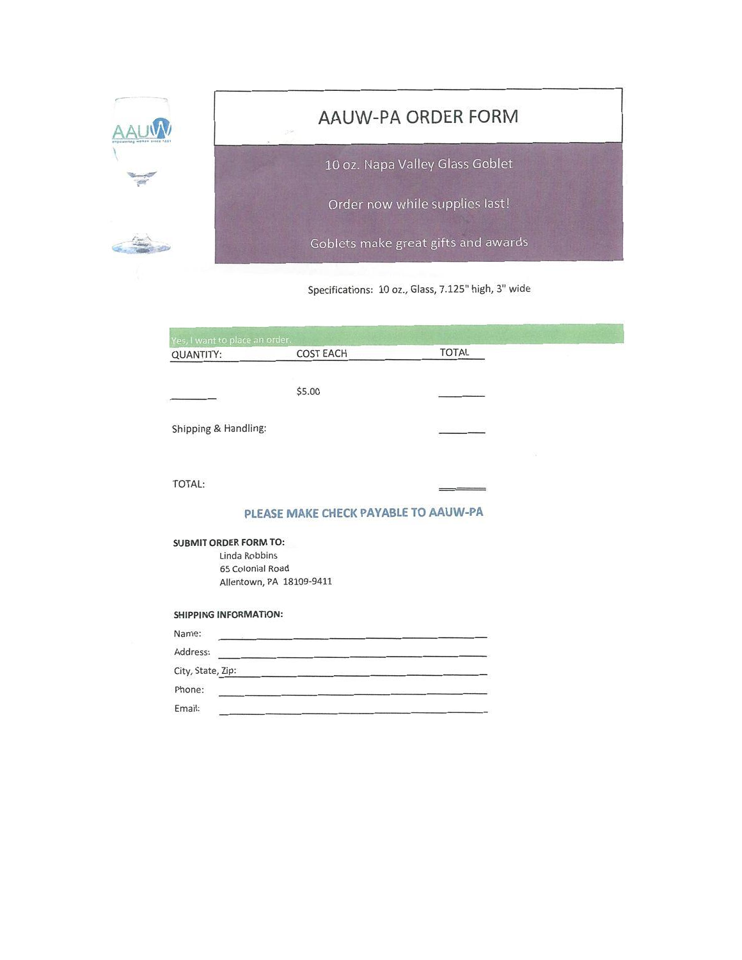|                                                                                               | AAUW-PA ORDER FORM<br>10 oz. Napa Valley Glass Goblet |                  |  |              |  |  |  |
|-----------------------------------------------------------------------------------------------|-------------------------------------------------------|------------------|--|--------------|--|--|--|
|                                                                                               |                                                       |                  |  |              |  |  |  |
|                                                                                               | Order now while supplies last!                        |                  |  |              |  |  |  |
|                                                                                               | Goblets make great gifts and awards                   |                  |  |              |  |  |  |
| Specifications: 10 oz., Glass, 7.125" high, 3" wide                                           |                                                       |                  |  |              |  |  |  |
|                                                                                               | Yes, I want to place an order.                        |                  |  |              |  |  |  |
| <b>QUANTITY:</b>                                                                              |                                                       | <b>COST EACH</b> |  | <b>TOTAL</b> |  |  |  |
|                                                                                               |                                                       | \$5.00           |  |              |  |  |  |
| Shipping & Handling:                                                                          |                                                       |                  |  |              |  |  |  |
| <b>TOTAL:</b>                                                                                 |                                                       |                  |  |              |  |  |  |
| PLEASE MAKE CHECK PAYABLE TO AAUW-PA                                                          |                                                       |                  |  |              |  |  |  |
| <b>SUBMIT ORDER FORM TO:</b><br>Linda Robbins<br>65 Colonial Road<br>Allentown, PA 18109-9411 |                                                       |                  |  |              |  |  |  |
| <b>SHIPPING INFORMATION:</b>                                                                  |                                                       |                  |  |              |  |  |  |
| Name:                                                                                         |                                                       |                  |  |              |  |  |  |
| Address:                                                                                      |                                                       |                  |  |              |  |  |  |
| City, State, Zip:                                                                             |                                                       |                  |  |              |  |  |  |
| Phone:                                                                                        |                                                       |                  |  |              |  |  |  |
| Email:                                                                                        |                                                       |                  |  |              |  |  |  |